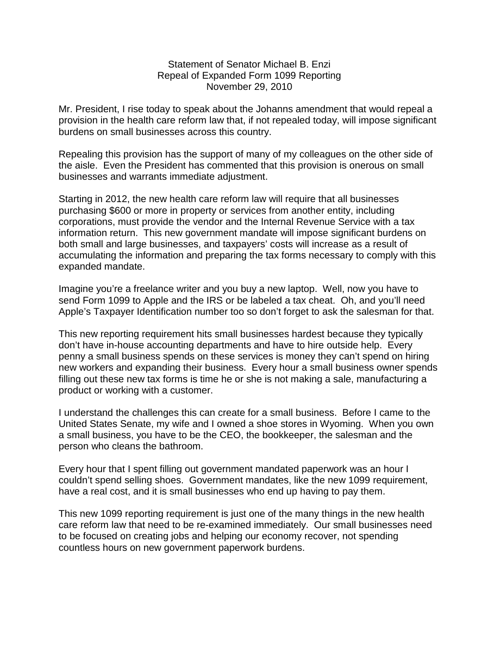## Statement of Senator Michael B. Enzi Repeal of Expanded Form 1099 Reporting November 29, 2010

Mr. President, I rise today to speak about the Johanns amendment that would repeal a provision in the health care reform law that, if not repealed today, will impose significant burdens on small businesses across this country.

Repealing this provision has the support of many of my colleagues on the other side of the aisle. Even the President has commented that this provision is onerous on small businesses and warrants immediate adjustment.

Starting in 2012, the new health care reform law will require that all businesses purchasing \$600 or more in property or services from another entity, including corporations, must provide the vendor and the Internal Revenue Service with a tax information return. This new government mandate will impose significant burdens on both small and large businesses, and taxpayers' costs will increase as a result of accumulating the information and preparing the tax forms necessary to comply with this expanded mandate.

Imagine you're a freelance writer and you buy a new laptop. Well, now you have to send Form 1099 to Apple and the IRS or be labeled a tax cheat. Oh, and you'll need Apple's Taxpayer Identification number too so don't forget to ask the salesman for that.

This new reporting requirement hits small businesses hardest because they typically don't have in-house accounting departments and have to hire outside help. Every penny a small business spends on these services is money they can't spend on hiring new workers and expanding their business. Every hour a small business owner spends filling out these new tax forms is time he or she is not making a sale, manufacturing a product or working with a customer.

I understand the challenges this can create for a small business. Before I came to the United States Senate, my wife and I owned a shoe stores in Wyoming. When you own a small business, you have to be the CEO, the bookkeeper, the salesman and the person who cleans the bathroom.

Every hour that I spent filling out government mandated paperwork was an hour I couldn't spend selling shoes. Government mandates, like the new 1099 requirement, have a real cost, and it is small businesses who end up having to pay them.

This new 1099 reporting requirement is just one of the many things in the new health care reform law that need to be re-examined immediately. Our small businesses need to be focused on creating jobs and helping our economy recover, not spending countless hours on new government paperwork burdens.